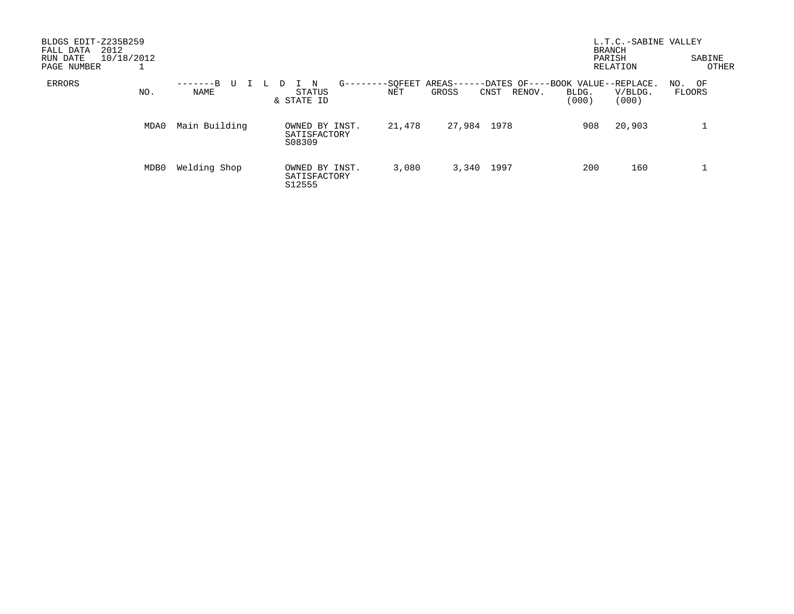| BLDGS EDIT-Z235B259<br>2012<br>FALL DATA<br>10/18/2012<br>RUN DATE<br>PAGE NUMBER |      |                       |                                          |                    |                                                                        |                | L.T.C.-SABINE VALLEY<br><b>BRANCH</b><br>PARISH<br>RELATION | SABINE<br>OTHER     |
|-----------------------------------------------------------------------------------|------|-----------------------|------------------------------------------|--------------------|------------------------------------------------------------------------|----------------|-------------------------------------------------------------|---------------------|
| ERRORS                                                                            | NO.  | -------B<br>U<br>NAME | $G$ ------<br>N<br>STATUS<br>& STATE ID  | $-$ -SOFEET<br>NET | AREAS------DATES OF----BOOK VALUE--REPLACE.<br>GROSS<br>RENOV.<br>CNST | BLDG.<br>(000) | V/BLDG.<br>(000)                                            | OF<br>NO.<br>FLOORS |
|                                                                                   | MDA0 | Main Building         | OWNED BY INST.<br>SATISFACTORY<br>S08309 | 21,478             | 1978<br>27,984                                                         | 908            | 20,903                                                      |                     |
|                                                                                   | MDB0 | Welding Shop          | OWNED BY INST.<br>SATISFACTORY<br>S12555 | 3,080              | 1997<br>3,340                                                          | 200            | 160                                                         | ᆠ                   |